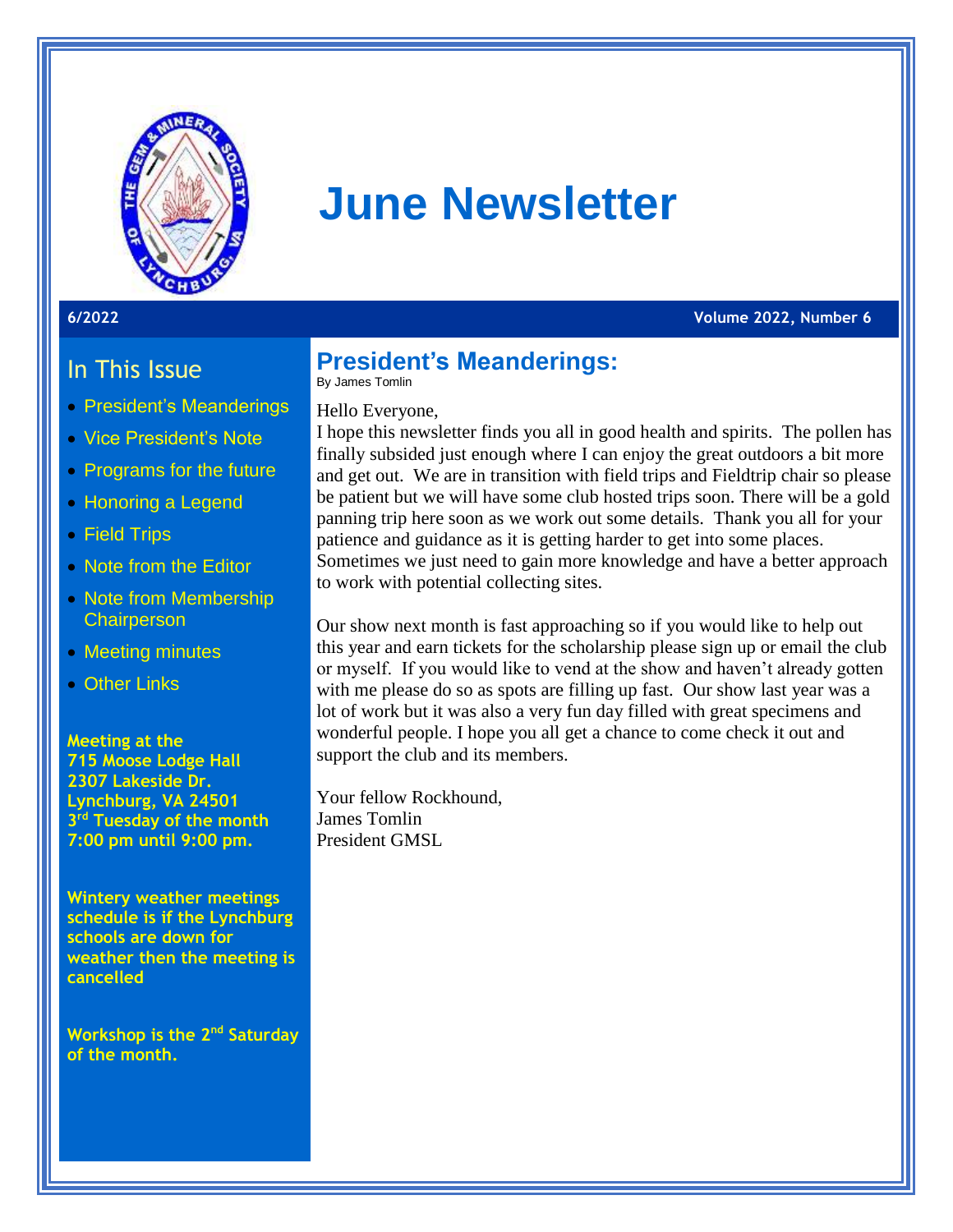

# **June Newsletter**

**6/2022 Volume 2022, Number 6**

### In This Issue

- President's Meanderings
- Vice President's Note
- Programs for the future
- Honoring a Legend
- Field Trips
- Note from the Editor
- Note from Membership **Chairperson**
- Meeting minutes
- Other Links

**Meeting at the 715 Moose Lodge Hall 2307 Lakeside Dr. Lynchburg, VA 24501 3 rd Tuesday of the month 7:00 pm until 9:00 pm.** 

**Wintery weather meetings schedule is if the Lynchburg schools are down for weather then the meeting is cancelled** 

**Workshop is the 2nd Saturday of the month.**

### **President's Meanderings:**

By James Tomlin

#### Hello Everyone,

I hope this newsletter finds you all in good health and spirits. The pollen has finally subsided just enough where I can enjoy the great outdoors a bit more and get out. We are in transition with field trips and Fieldtrip chair so please be patient but we will have some club hosted trips soon. There will be a gold panning trip here soon as we work out some details. Thank you all for your patience and guidance as it is getting harder to get into some places. Sometimes we just need to gain more knowledge and have a better approach to work with potential collecting sites.

Our show next month is fast approaching so if you would like to help out this year and earn tickets for the scholarship please sign up or email the club or myself. If you would like to vend at the show and haven't already gotten with me please do so as spots are filling up fast. Our show last year was a lot of work but it was also a very fun day filled with great specimens and wonderful people. I hope you all get a chance to come check it out and support the club and its members.

Your fellow Rockhound, James Tomlin President GMSL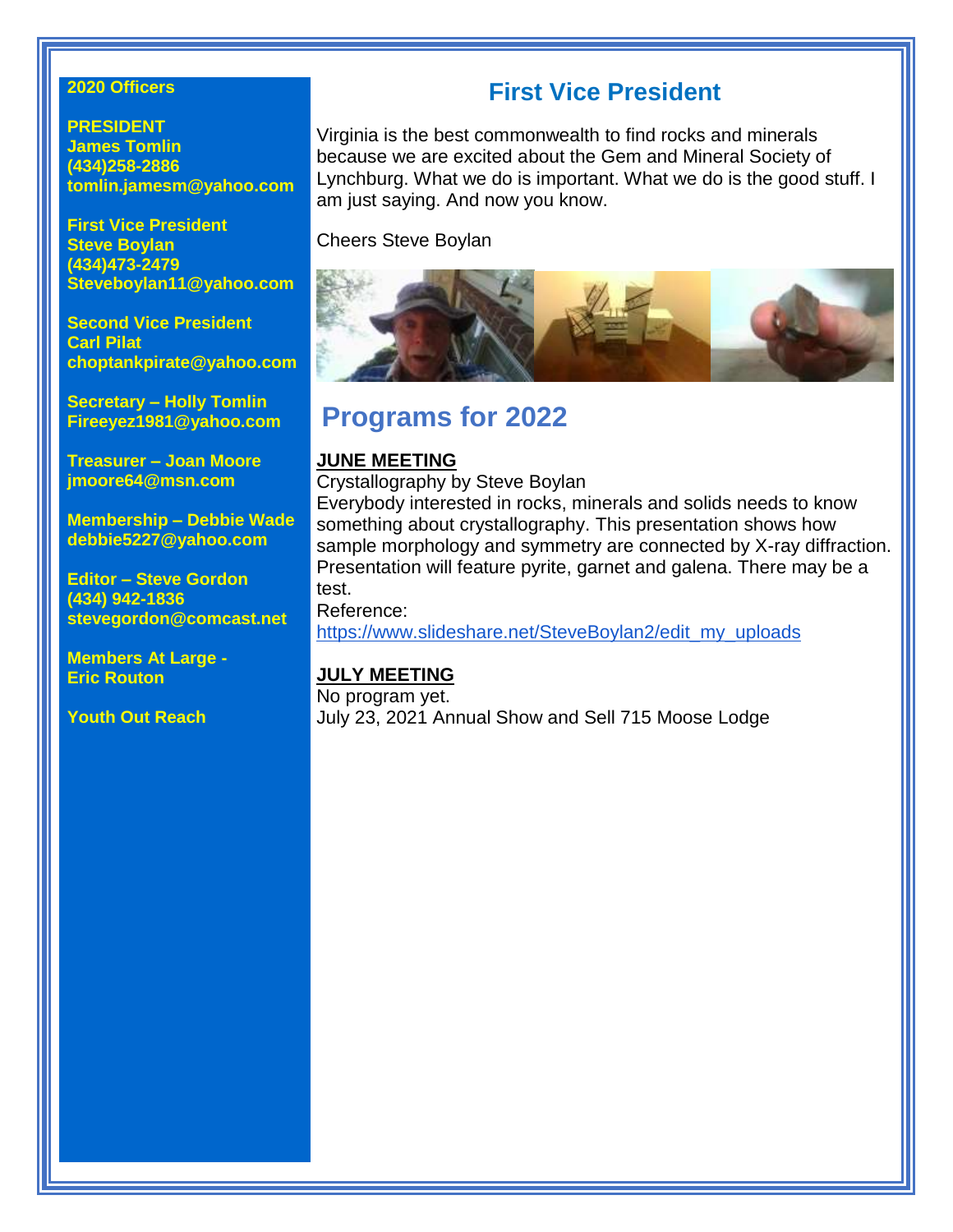#### **2020 Officers**

**PRESIDENT James Tomlin (434)258-2886 tomlin.jamesm@yahoo.com**

**First Vice President Steve Boylan (434)473-2479 Steveboylan11@yahoo.com**

**Second Vice President Carl Pilat [choptankpirate@yahoo.com](mailto:choptankpirate@yahoo.com)**

**Secretary – Holly Tomlin Fireeyez1981@yahoo.com**

**Treasurer – Joan Moore jmoore64@msn.com**

**Membership – Debbie Wade debbie5227@yahoo.com**

**Editor – Steve Gordon (434) 942-1836 stevegordon@comcast.net**

**Members At Large - Eric Routon**

**Youth Out Reach**

### **First Vice President**

Virginia is the best commonwealth to find rocks and minerals because we are excited about the Gem and Mineral Society of Lynchburg. What we do is important. What we do is the good stuff. I am just saying. And now you know.

Cheers Steve Boylan



### **Programs for 2022**

#### **JUNE MEETING**

Crystallography by Steve Boylan

Everybody interested in rocks, minerals and solids needs to know something about crystallography. This presentation shows how sample morphology and symmetry are connected by X-ray diffraction. Presentation will feature pyrite, garnet and galena. There may be a test.

Reference:

[https://www.slideshare.net/SteveBoylan2/edit\\_my\\_uploads](https://www.slideshare.net/SteveBoylan2/edit_my_uploads)

### **JULY MEETING**

No program yet. July 23, 2021 Annual Show and Sell 715 Moose Lodge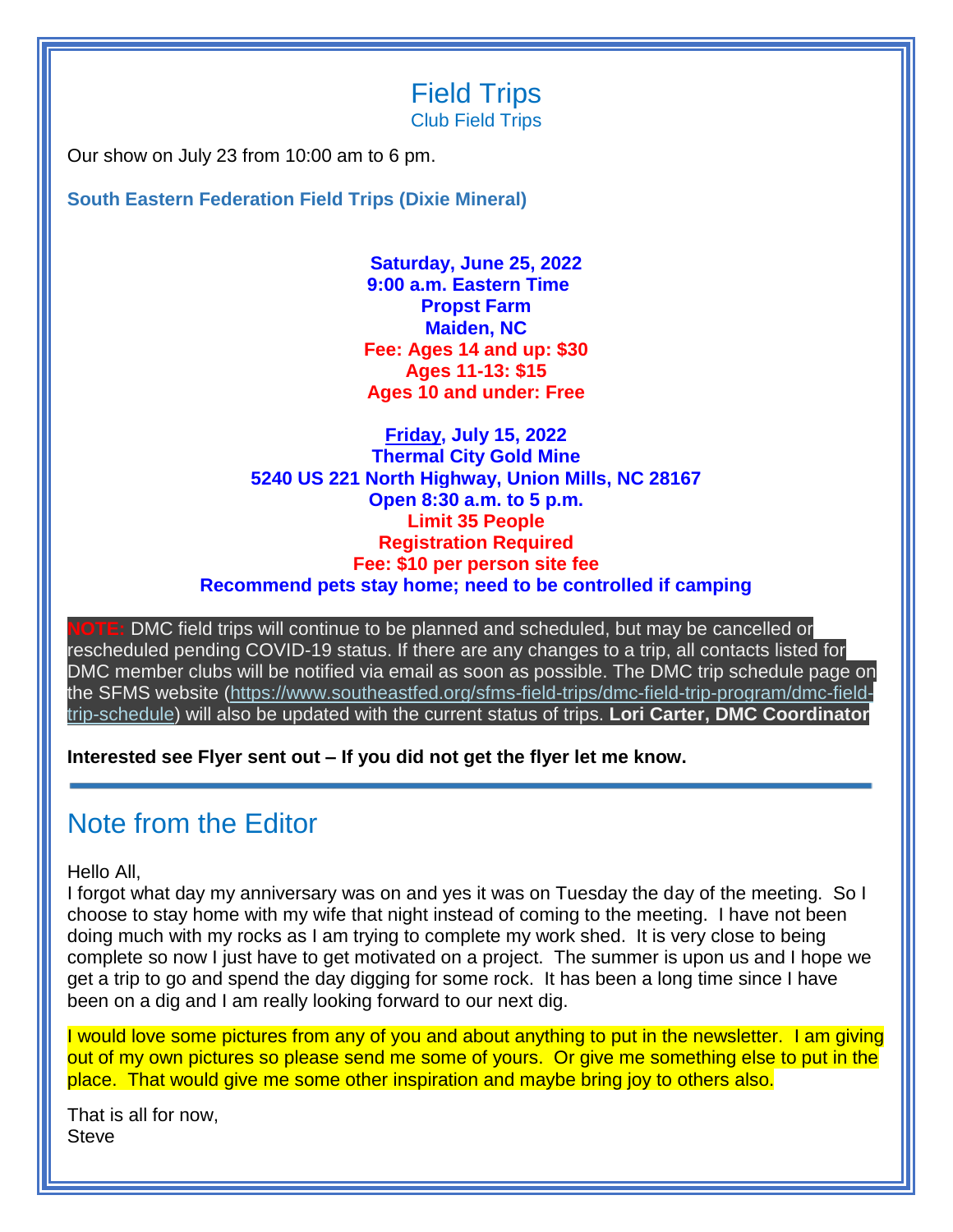### Field Trips Club Field Trips

Our show on July 23 from 10:00 am to 6 pm.

**South Eastern Federation Field Trips (Dixie Mineral)**

**Saturday, June 25, 2022 9:00 a.m. Eastern Time Propst Farm Maiden, NC Fee: Ages 14 and up: \$30 Ages 11-13: \$15 Ages 10 and under: Free**

**Friday, July 15, 2022 Thermal City Gold Mine 5240 US 221 North Highway, Union Mills, NC 28167 Open 8:30 a.m. to 5 p.m. Limit 35 People Registration Required Fee: \$10 per person site fee Recommend pets stay home; need to be controlled if camping**

DMC field trips will continue to be planned and scheduled, but may be cancelled or rescheduled pending COVID-19 status. If there are any changes to a trip, all contacts listed for DMC member clubs will be notified via email as soon as possible. The DMC trip schedule page on the SFMS website [\(https://www.southeastfed.org/sfms-field-trips/dmc-field-trip-program/dmc-field](https://amfed.us12.list-manage.com/track/click?u=80754e4f918a2ae19a26a2449&id=7baf89ea34&e=eb40214e97)[trip-schedule\)](https://amfed.us12.list-manage.com/track/click?u=80754e4f918a2ae19a26a2449&id=7baf89ea34&e=eb40214e97) will also be updated with the current status of trips. **Lori Carter, DMC Coordinator**

**Interested see Flyer sent out – If you did not get the flyer let me know.**

### Note from the Editor

Hello All,

I forgot what day my anniversary was on and yes it was on Tuesday the day of the meeting. So I choose to stay home with my wife that night instead of coming to the meeting. I have not been doing much with my rocks as I am trying to complete my work shed. It is very close to being complete so now I just have to get motivated on a project. The summer is upon us and I hope we get a trip to go and spend the day digging for some rock. It has been a long time since I have been on a dig and I am really looking forward to our next dig.

I would love some pictures from any of you and about anything to put in the newsletter. I am giving out of my own pictures so please send me some of yours. Or give me something else to put in the place. That would give me some other inspiration and maybe bring joy to others also.

That is all for now, Steve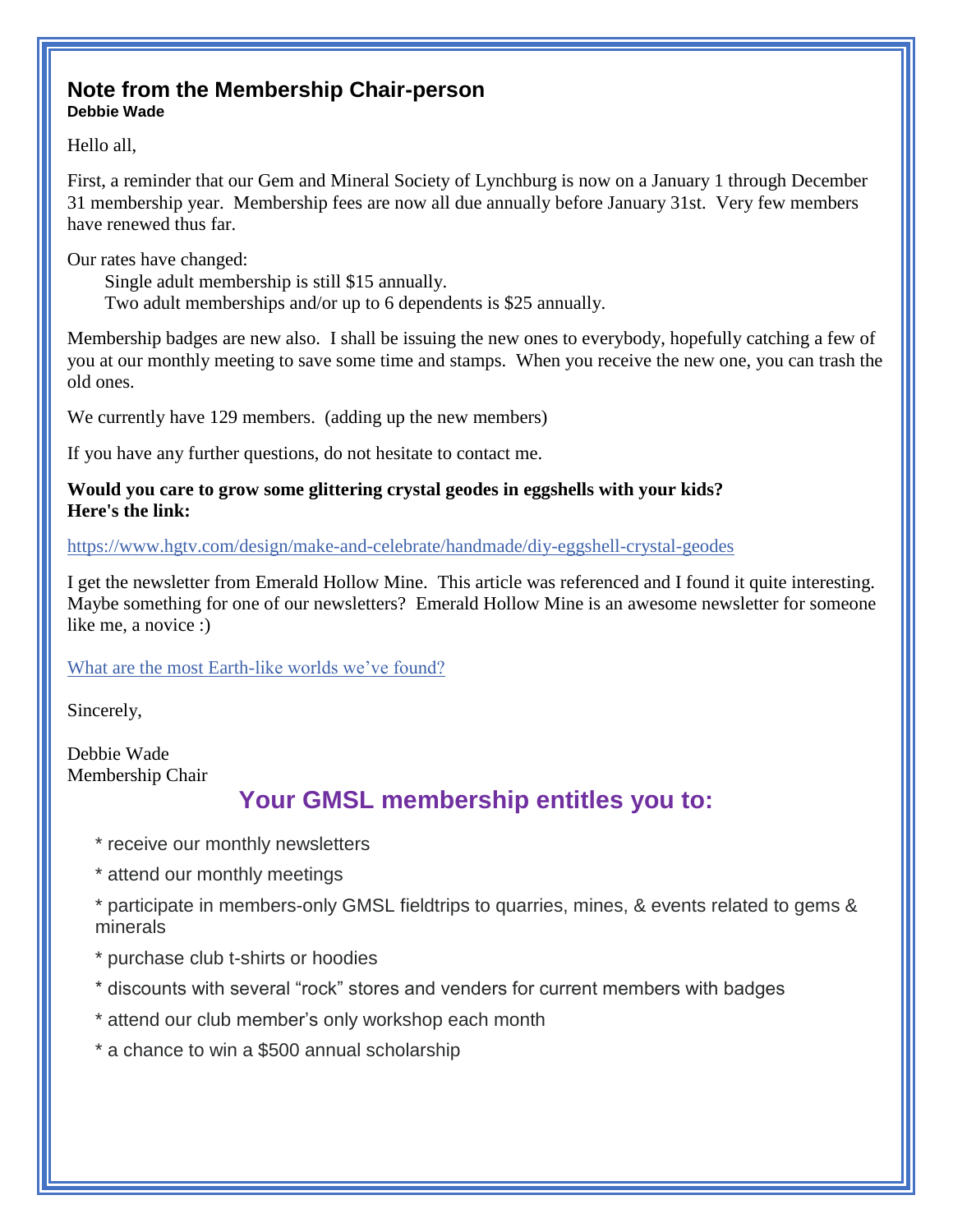### **Note from the Membership Chair-person Debbie Wade**

Hello all,

First, a reminder that our Gem and Mineral Society of Lynchburg is now on a January 1 through December 31 membership year. Membership fees are now all due annually before January 31st. Very few members have renewed thus far.

Our rates have changed:

 Single adult membership is still \$15 annually. Two adult memberships and/or up to 6 dependents is \$25 annually.

Membership badges are new also. I shall be issuing the new ones to everybody, hopefully catching a few of you at our monthly meeting to save some time and stamps. When you receive the new one, you can trash the old ones.

We currently have 129 members. (adding up the new members)

If you have any further questions, do not hesitate to contact me.

#### **Would you care to grow some glittering crystal geodes in eggshells with your kids? Here's the link:**

<https://www.hgtv.com/design/make-and-celebrate/handmade/diy-eggshell-crystal-geodes>

I get the newsletter from Emerald Hollow Mine. This article was referenced and I found it quite interesting. Maybe something for one of our newsletters? Emerald Hollow Mine is an awesome newsletter for someone like me, a novice :)

### [What are the most Earth-like worlds we've found?](https://www.planetary.org/articles/earth-like-worlds)

Sincerely,

Debbie Wade Membership Chair

### **Your GMSL membership entitles you to:**

- \* receive our monthly newsletters
- \* attend our monthly meetings
- \* participate in members-only GMSL fieldtrips to quarries, mines, & events related to gems & minerals
- \* purchase club t-shirts or hoodies
- \* discounts with several "rock" stores and venders for current members with badges
- \* attend our club member's only workshop each month
- \* a chance to win a \$500 annual scholarship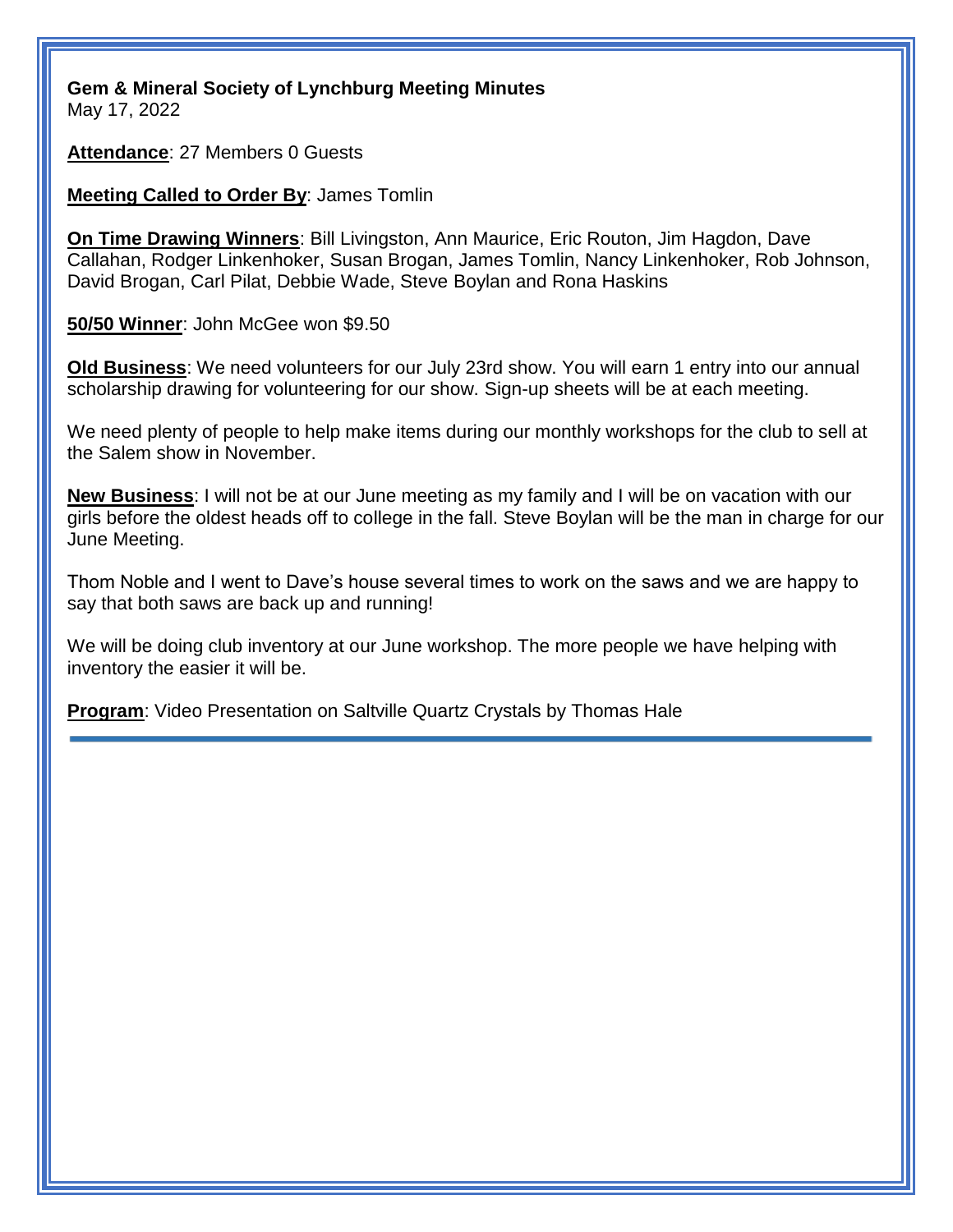**Gem & Mineral Society of Lynchburg Meeting Minutes** May 17, 2022

**Attendance**: 27 Members 0 Guests

**Meeting Called to Order By**: James Tomlin

**On Time Drawing Winners**: Bill Livingston, Ann Maurice, Eric Routon, Jim Hagdon, Dave Callahan, Rodger Linkenhoker, Susan Brogan, James Tomlin, Nancy Linkenhoker, Rob Johnson, David Brogan, Carl Pilat, Debbie Wade, Steve Boylan and Rona Haskins

**50/50 Winner**: John McGee won \$9.50

**Old Business**: We need volunteers for our July 23rd show. You will earn 1 entry into our annual scholarship drawing for volunteering for our show. Sign-up sheets will be at each meeting.

We need plenty of people to help make items during our monthly workshops for the club to sell at the Salem show in November.

**New Business**: I will not be at our June meeting as my family and I will be on vacation with our girls before the oldest heads off to college in the fall. Steve Boylan will be the man in charge for our June Meeting.

Thom Noble and I went to Dave's house several times to work on the saws and we are happy to say that both saws are back up and running!

We will be doing club inventory at our June workshop. The more people we have helping with inventory the easier it will be.

**Program**: Video Presentation on Saltville Quartz Crystals by Thomas Hale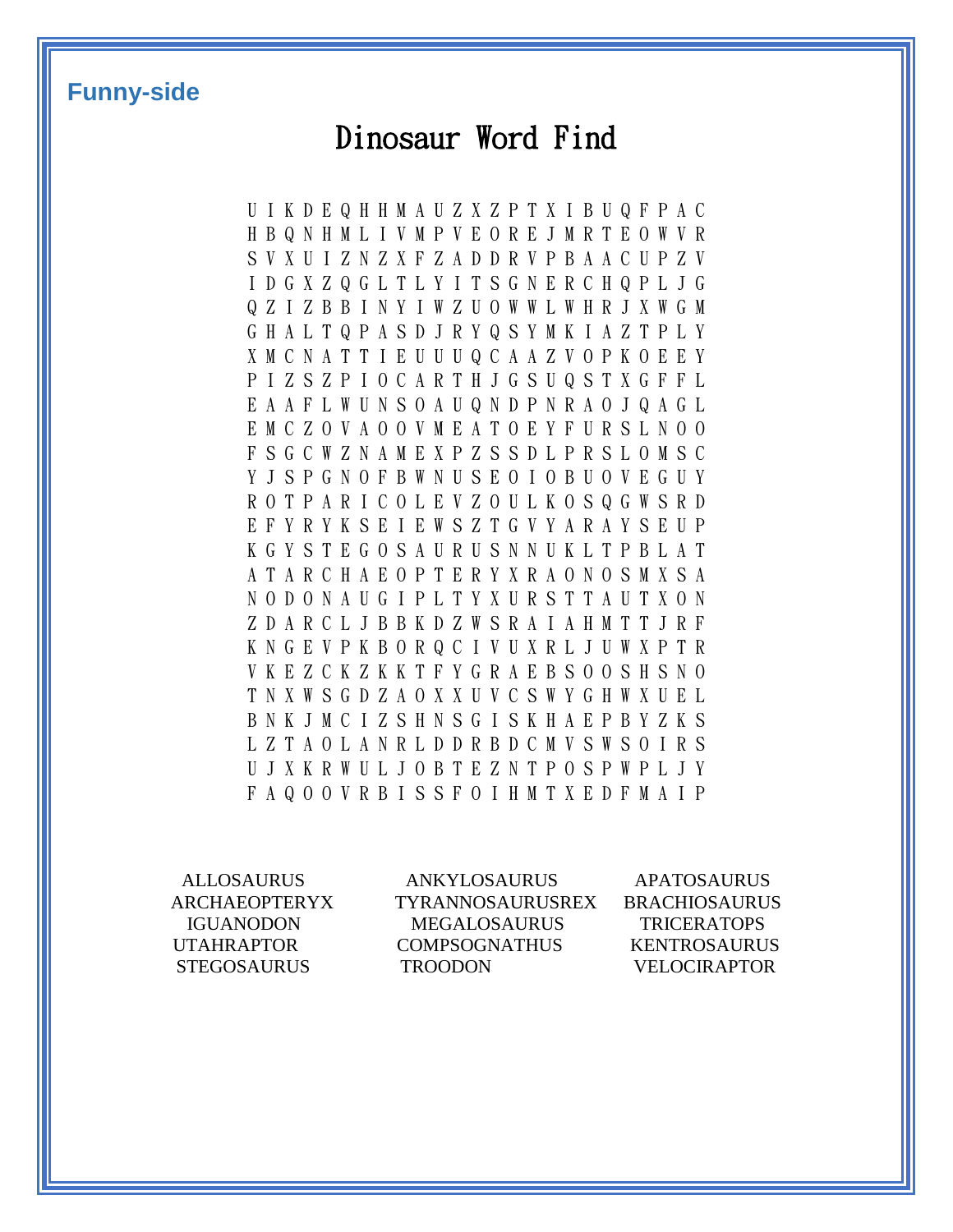### **Funny-side**

## Dinosaur Word Find

U I K D E Q H H M A U Z X Z P T X I B U Q F P A C H B Q N H M L I V M P V E O R E J M R T E O W V R S V X U I Z N Z X F Z A D D R V P B A A C U P Z V I D G X Z Q G L T L Y I T S G N E R C H Q P L J G Q Z I Z B B I N Y I W Z U O W W L W H R J X W G M G H A L T Q P A S D J R Y Q S Y M K I A Z T P L Y X M C N A T T I E U U U Q C A A Z V O P K O E E Y P I Z S Z P I O C A R T H J G S U Q S T X G F F L E A A F L W U N S O A U Q N D P N R A O J Q A G L E M C Z O V A O O V M E A T O E Y F U R S L N O O F S G C W Z N A M E X P Z S S D L P R S L O M S C Y J S P G N O F B W N U S E O I O B U O V E G U Y R O T P A R I C O L E V Z O U L K O S Q G W S R D E F Y R Y K S E I E W S Z T G V Y A R A Y S E U P K G Y S T E G O S A U R U S N N U K L T P B L A T A T A R C H A E O P T E R Y X R A O N O S M X S A N O D O N A U G I P L T Y X U R S T T A U T X O N Z D A R C L J B B K D Z W S R A I A H M T T J R F K N G E V P K B O R Q C I V U X R L J U W X P T R V K E Z C K Z K K T F Y G R A E B S O O S H S N O T N X W S G D Z A O X X U V C S W Y G H W X U E L B N K J M C I Z S H N S G I S K H A E P B Y Z K S L Z T A O L A N R L D D R B D C M V S W S O I R S U J X K R W U L J O B T E Z N T P O S P W P L J Y F A Q O O V R B I S S F O I H M T X E D F M A I P

ALLOSAURUS ANKYLOSAURUS APATOSAURUS ARCHAEOPTERYX TYRANNOSAURUSREX BRACHIOSAURUS IGUANODON MEGALOSAURUS TRICERATOPS UTAHRAPTOR COMPSOGNATHUS KENTROSAURUS STEGOSAURUS TROODON VELOCIRAPTOR